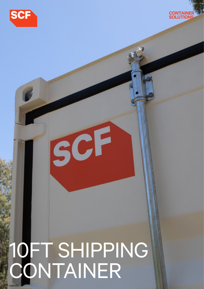



# 10FT SHIPPING CONTAINER

SCF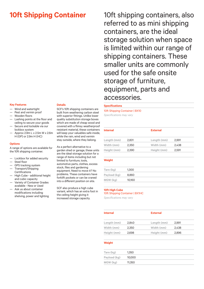#### **Key Features**

- Wind and watertight
- Pest and vermin proof
- Wooden floors
- Lashing points at the floor and ceiling to secure your goods
- Secure and lockable via our lockbox system
- Approx 2.9m L x 2.5m W x 2.6m H (GP) or 2.9m H (HC)

#### **Options**

A range of options are available for the 10ft shipping container.

- Lockbox for added security
- Steel floor
- GPS tracking system — Transport/Shipping Certifications
- High Cube additional height and cubic capacity
- Variety of Container Grades available - New or Used
- Ask us about container modifications including shelving, power and lighting

#### **Details**

SCF's 10ft shipping containers are built from weathering carbon steel with superior fittings. Unlike lower quality substitution storage boxes which are made of cheap wood and covered with a flimsy weatherproof resistant material, these containers will keep your valuables safe inside, while the rain, wind and vermin stay outside, where they belong.

As a perfect alternative to a garden shed or garage, these units are the ideal storage solution for a range of items including but not limited to furniture, tools, automotive parts, clothes, excess stock, files and gardening equipment. Need to move it? No problems. These containers have forklift pockets or can be craned into a different position on site.

SCF also produce a high cube variant, which has an extra foot in the ceiling height giving it increased storage capacity.

**10ft Shipping Container** 10ft shipping containers, also referred to as mini shipping containers, are the ideal storage solution when space is limited within our range of shipping containers. These smaller units are commonly used for the safe onsite storage of furniture, equipment, parts and accessories.

#### **Specifications**

10ft Shipping Container | BX10 *Specifications may vary*

| <b>Internal</b> |       | <b>External</b> |       |
|-----------------|-------|-----------------|-------|
| Length (mm)     | 2,831 | Length (mm)     | 2,991 |
| Width (mm)      | 2,350 | Width (mm)      | 2.438 |
| Height (mm)     | 2,390 | Height (mm)     | 2,591 |

### **Weight**

| Tare (kg)    | 1.300  |  |
|--------------|--------|--|
| Payload (kg) | 8,860  |  |
| MGW (kg)     | 10,160 |  |

## **10ft High Cube**

# 10ft Shipping Container | BX1HC

*Specifications may vary*

| <b>Internal</b> |       | <b>External</b> |       |
|-----------------|-------|-----------------|-------|
| Length (mm)     | 2.840 | Length (mm)     | 2.991 |
| Width (mm)      | 2.350 | Width (mm)      | 2.438 |
| Height (mm)     | 2,698 | Height (mm)     | 2,896 |

#### **Weight**

| Tare (kg)    | 1.350  |  |
|--------------|--------|--|
| Payload (kg) | 10.000 |  |
| MGW (kg)     | 11,350 |  |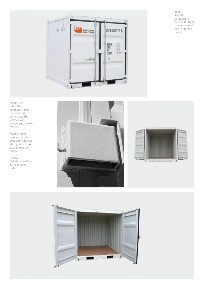Top: The 10ft container is perfect for tight spaces or small onsite storage needs.





Middle Right: Easy access to your stuff with our strong, secure and easy to operate doors.

Below: Get started with a 10ft container today